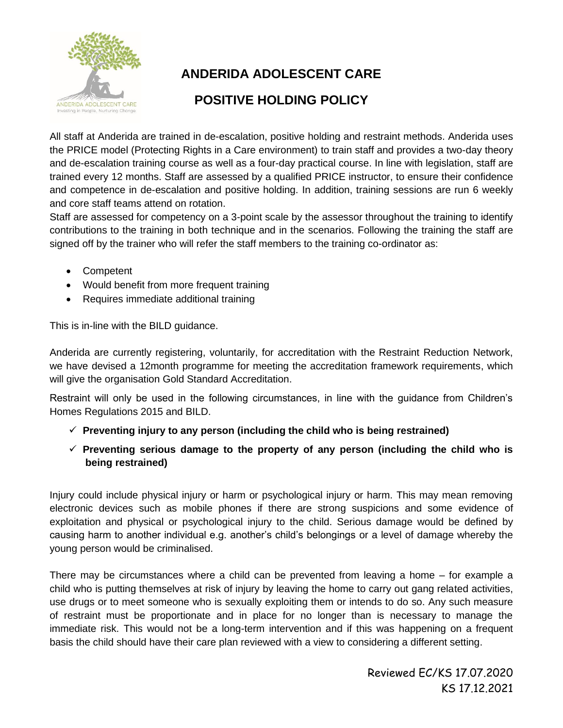

# **ANDERIDA ADOLESCENT CARE**

## **POSITIVE HOLDING POLICY**

All staff at Anderida are trained in de-escalation, positive holding and restraint methods. Anderida uses the PRICE model (Protecting Rights in a Care environment) to train staff and provides a two-day theory and de-escalation training course as well as a four-day practical course. In line with legislation, staff are trained every 12 months. Staff are assessed by a qualified PRICE instructor, to ensure their confidence and competence in de-escalation and positive holding. In addition, training sessions are run 6 weekly and core staff teams attend on rotation.

Staff are assessed for competency on a 3-point scale by the assessor throughout the training to identify contributions to the training in both technique and in the scenarios. Following the training the staff are signed off by the trainer who will refer the staff members to the training co-ordinator as:

- Competent
- Would benefit from more frequent training
- Requires immediate additional training

This is in-line with the BILD guidance.

Anderida are currently registering, voluntarily, for accreditation with the Restraint Reduction Network, we have devised a 12month programme for meeting the accreditation framework requirements, which will give the organisation Gold Standard Accreditation.

Restraint will only be used in the following circumstances, in line with the guidance from Children's Homes Regulations 2015 and BILD.

- ✓ **Preventing injury to any person (including the child who is being restrained)**
- ✓ **Preventing serious damage to the property of any person (including the child who is being restrained)**

Injury could include physical injury or harm or psychological injury or harm. This may mean removing electronic devices such as mobile phones if there are strong suspicions and some evidence of exploitation and physical or psychological injury to the child. Serious damage would be defined by causing harm to another individual e.g. another's child's belongings or a level of damage whereby the young person would be criminalised.

There may be circumstances where a child can be prevented from leaving a home – for example a child who is putting themselves at risk of injury by leaving the home to carry out gang related activities, use drugs or to meet someone who is sexually exploiting them or intends to do so. Any such measure of restraint must be proportionate and in place for no longer than is necessary to manage the immediate risk. This would not be a long-term intervention and if this was happening on a frequent basis the child should have their care plan reviewed with a view to considering a different setting.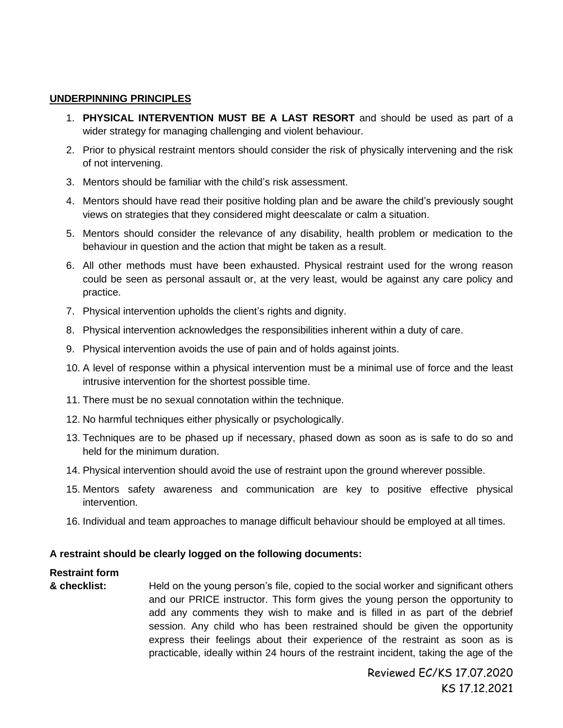#### **UNDERPINNING PRINCIPLES**

- 1. **PHYSICAL INTERVENTION MUST BE A LAST RESORT** and should be used as part of a wider strategy for managing challenging and violent behaviour.
- 2. Prior to physical restraint mentors should consider the risk of physically intervening and the risk of not intervening.
- 3. Mentors should be familiar with the child's risk assessment.
- 4. Mentors should have read their positive holding plan and be aware the child's previously sought views on strategies that they considered might deescalate or calm a situation.
- 5. Mentors should consider the relevance of any disability, health problem or medication to the behaviour in question and the action that might be taken as a result.
- 6. All other methods must have been exhausted. Physical restraint used for the wrong reason could be seen as personal assault or, at the very least, would be against any care policy and practice.
- 7. Physical intervention upholds the client's rights and dignity.
- 8. Physical intervention acknowledges the responsibilities inherent within a duty of care.
- 9. Physical intervention avoids the use of pain and of holds against joints.
- 10. A level of response within a physical intervention must be a minimal use of force and the least intrusive intervention for the shortest possible time.
- 11. There must be no sexual connotation within the technique.
- 12. No harmful techniques either physically or psychologically.
- 13. Techniques are to be phased up if necessary, phased down as soon as is safe to do so and held for the minimum duration.
- 14. Physical intervention should avoid the use of restraint upon the ground wherever possible.
- 15. Mentors safety awareness and communication are key to positive effective physical intervention.
- 16. Individual and team approaches to manage difficult behaviour should be employed at all times.

#### **A restraint should be clearly logged on the following documents:**

### **Restraint form**

**& checklist:** Held on the young person's file, copied to the social worker and significant others and our PRICE instructor. This form gives the young person the opportunity to add any comments they wish to make and is filled in as part of the debrief session. Any child who has been restrained should be given the opportunity express their feelings about their experience of the restraint as soon as is practicable, ideally within 24 hours of the restraint incident, taking the age of the

> Reviewed EC/KS 17.07.2020 KS 17.12.2021